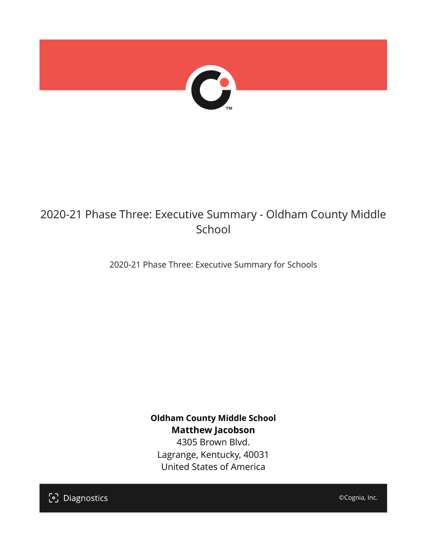

## 2020-21 Phase Three: Executive Summary - Oldham County Middle School

2020-21 Phase Three: Executive Summary for Schools

**Oldham County Middle School Matthew Jacobson**

4305 Brown Blvd. Lagrange, Kentucky, 40031 United States of America

[၁] Diagnostics

©Cognia, Inc.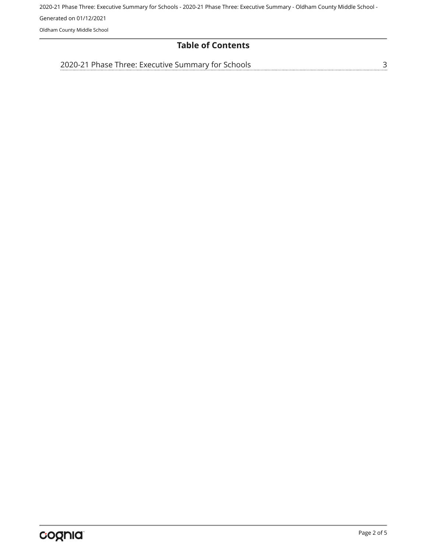2020-21 Phase Three: Executive Summary for Schools - 2020-21 Phase Three: Executive Summary - Oldham County Middle School - Generated on 01/12/2021 Oldham County Middle School

## **Table of Contents**

[3](#page-2-0)

[2020-21 Phase Three: Executive Summary for Schools](#page-2-0)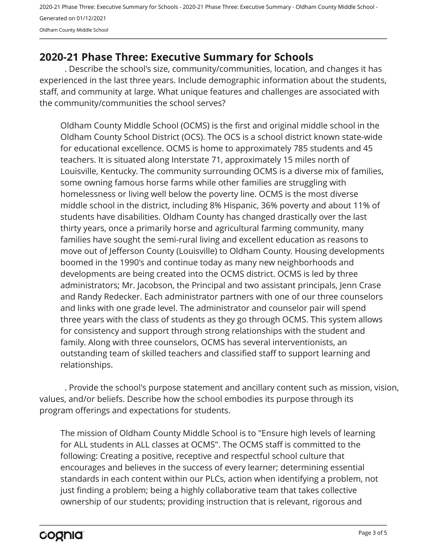2020-21 Phase Three: Executive Summary for Schools - 2020-21 Phase Three: Executive Summary - Oldham County Middle School - Generated on 01/12/2021 Oldham County Middle School

## <span id="page-2-0"></span>**2020-21 Phase Three: Executive Summary for Schools**

. Describe the school's size, community/communities, location, and changes it has experienced in the last three years. Include demographic information about the students, staff, and community at large. What unique features and challenges are associated with the community/communities the school serves?

Oldham County Middle School (OCMS) is the first and original middle school in the Oldham County School District (OCS). The OCS is a school district known state-wide for educational excellence. OCMS is home to approximately 785 students and 45 teachers. It is situated along Interstate 71, approximately 15 miles north of Louisville, Kentucky. The community surrounding OCMS is a diverse mix of families, some owning famous horse farms while other families are struggling with homelessness or living well below the poverty line. OCMS is the most diverse middle school in the district, including 8% Hispanic, 36% poverty and about 11% of students have disabilities. Oldham County has changed drastically over the last thirty years, once a primarily horse and agricultural farming community, many families have sought the semi-rural living and excellent education as reasons to move out of Jefferson County (Louisville) to Oldham County. Housing developments boomed in the 1990's and continue today as many new neighborhoods and developments are being created into the OCMS district. OCMS is led by three administrators; Mr. Jacobson, the Principal and two assistant principals, Jenn Crase and Randy Redecker. Each administrator partners with one of our three counselors and links with one grade level. The administrator and counselor pair will spend three years with the class of students as they go through OCMS. This system allows for consistency and support through strong relationships with the student and family. Along with three counselors, OCMS has several interventionists, an outstanding team of skilled teachers and classified staff to support learning and relationships.

. Provide the school's purpose statement and ancillary content such as mission, vision, values, and/or beliefs. Describe how the school embodies its purpose through its program offerings and expectations for students.

The mission of Oldham County Middle School is to "Ensure high levels of learning for ALL students in ALL classes at OCMS". The OCMS staff is committed to the following: Creating a positive, receptive and respectful school culture that encourages and believes in the success of every learner; determining essential standards in each content within our PLCs, action when identifying a problem, not just finding a problem; being a highly collaborative team that takes collective ownership of our students; providing instruction that is relevant, rigorous and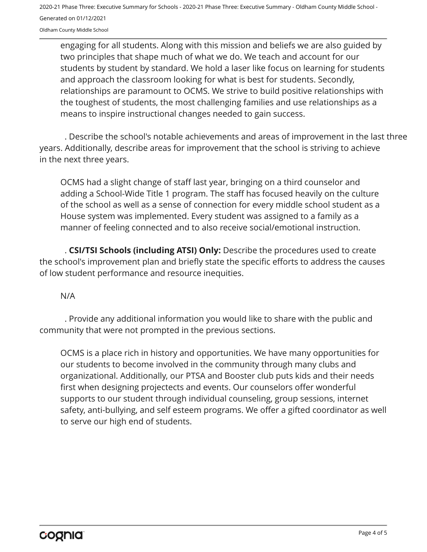2020-21 Phase Three: Executive Summary for Schools - 2020-21 Phase Three: Executive Summary - Oldham County Middle School - Generated on 01/12/2021

Oldham County Middle School

engaging for all students. Along with this mission and beliefs we are also guided by two principles that shape much of what we do. We teach and account for our students by student by standard. We hold a laser like focus on learning for students and approach the classroom looking for what is best for students. Secondly, relationships are paramount to OCMS. We strive to build positive relationships with the toughest of students, the most challenging families and use relationships as a means to inspire instructional changes needed to gain success.

. Describe the school's notable achievements and areas of improvement in the last three years. Additionally, describe areas for improvement that the school is striving to achieve in the next three years.

OCMS had a slight change of staff last year, bringing on a third counselor and adding a School-Wide Title 1 program. The staff has focused heavily on the culture of the school as well as a sense of connection for every middle school student as a House system was implemented. Every student was assigned to a family as a manner of feeling connected and to also receive social/emotional instruction.

. **CSI/TSI Schools (including ATSI) Only:** Describe the procedures used to create the school's improvement plan and briefly state the specific efforts to address the causes of low student performance and resource inequities.

N/A

. Provide any additional information you would like to share with the public and community that were not prompted in the previous sections.

OCMS is a place rich in history and opportunities. We have many opportunities for our students to become involved in the community through many clubs and organizational. Additionally, our PTSA and Booster club puts kids and their needs first when designing projectects and events. Our counselors offer wonderful supports to our student through individual counseling, group sessions, internet safety, anti-bullying, and self esteem programs. We offer a gifted coordinator as well to serve our high end of students.